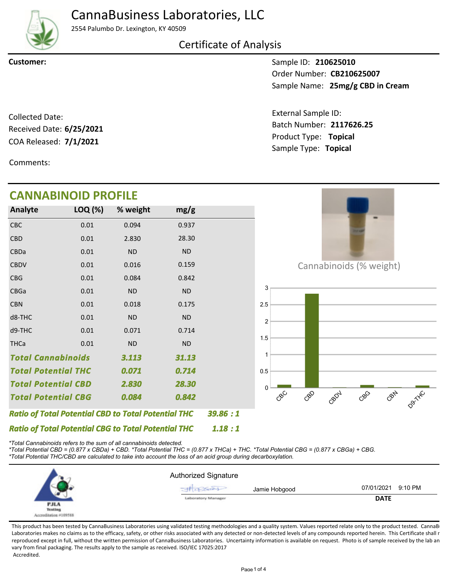

## CannaBusiness Laboratories, LLC

2554 Palumbo Dr. Lexington, KY 40509

### Certificate of Analysis

**Customer:**

Sample ID: **210625010** Sample Name: 25mg/g CBD in Cream Order Number: **CB210625007**

COA Released: **7/1/2021** Collected Date: Received Date: **6/25/2021**

Comments:

# **CANNABINOID PROFILE**

Product Type: **Topical 7/1/2021** Batch Number: **2117626.25** External Sample ID: Sample Type: **Topical**

| <b>CANNABINOID PROFILE</b>                                 |         |           |           |         |                                      |
|------------------------------------------------------------|---------|-----------|-----------|---------|--------------------------------------|
| Analyte                                                    | LOQ (%) | % weight  | mg/g      |         |                                      |
| CBC                                                        | 0.01    | 0.094     | 0.937     |         |                                      |
| <b>CBD</b>                                                 | 0.01    | 2.830     | 28.30     |         |                                      |
| CBDa                                                       | 0.01    | <b>ND</b> | <b>ND</b> |         |                                      |
| <b>CBDV</b>                                                | 0.01    | 0.016     | 0.159     |         | Cannabinoids (% weight)              |
| CBG                                                        | 0.01    | 0.084     | 0.842     |         |                                      |
| CBGa                                                       | 0.01    | <b>ND</b> | $\sf ND$  |         | 3                                    |
| <b>CBN</b>                                                 | 0.01    | 0.018     | 0.175     |         | 2.5                                  |
| d8-THC                                                     | 0.01    | <b>ND</b> | <b>ND</b> |         | 2                                    |
| d9-THC                                                     | 0.01    | 0.071     | 0.714     |         | 1.5                                  |
| <b>THCa</b>                                                | 0.01    | <b>ND</b> | <b>ND</b> |         |                                      |
| <b>Total Cannabinoids</b>                                  |         | 3.113     | 31.13     |         |                                      |
| <b>Total Potential THC</b>                                 |         | 0.071     | 0.714     |         | 0.5                                  |
| <b>Total Potential CBD</b>                                 |         | 2.830     | 28.30     |         |                                      |
| <b>Total Potential CBG</b>                                 |         | 0.084     | 0.842     |         | CBN<br>CBD<br>CBC<br>$C^{8}$<br>CBOV |
| <b>Ratio of Total Potential CBD to Total Potential THC</b> |         |           |           | 39.86:1 |                                      |
| <b>Ratio of Total Potential CBG to Total Potential THC</b> |         |           |           | 1.18:1  |                                      |

*\*Total Cannabinoids refers to the sum of all cannabinoids detected.*

*\*Total Potential CBD = (0.877 x CBDa) + CBD. \*Total Potential THC = (0.877 x THCa) + THC. \*Total Potential CBG = (0.877 x CBGa) + CBG. \*Total Potential THC/CBD are calculated to take into account the loss of an acid group during decarboxylation.*



This product has been tested by CannaBusiness Laboratories using validated testing methodologies and a quality system. Values reported relate only to the product tested. CannaB Laboratories makes no claims as to the efficacy, safety, or other risks associated with any detected or non-detected levels of any compounds reported herein. This Certificate shall r reproduced except in full, without the written permission of CannaBusiness Laboratories. Uncertainty information is available on request. Photo is of sample received by the lab an vary from final packaging. The results apply to the sample as received. ISO/IEC 17025:2017 Accredited.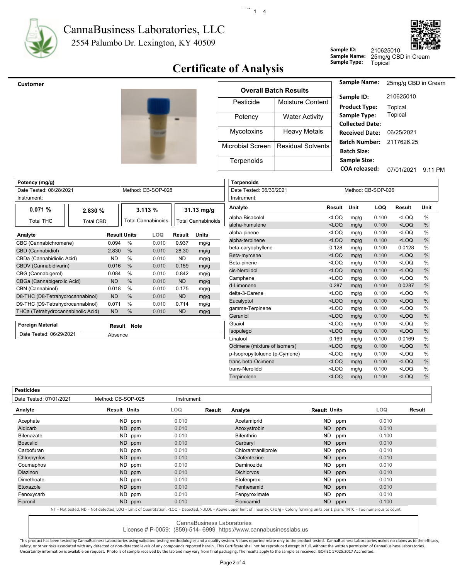

#### 2554 Palumbo Dr. Lexington, KY 40509 CannaBusiness Laboratories, LLC



## **Certificate of Analysis**

 $\cdot$  -  $\cdot$  -  $\cdot$  1  $\cdot$  4

|              | Z IUUZJU IU |
|--------------|-------------|
| Sample Name: | 25mg/g CB   |
| Sample Type: | Topical     |

**Sample ID:**

<sub>.</sub><br>3D in Cream 210625010

| <b>Customer</b> |                  |                              | <b>Sample Name:</b>                         |
|-----------------|------------------|------------------------------|---------------------------------------------|
|                 |                  | <b>Overall Batch Results</b> | Sample ID:                                  |
|                 | Pesticide        | Moisture Content             | <b>Product Type:</b>                        |
|                 | Potency          | <b>Water Activity</b>        | Sample Type:<br><b>Collected Date</b>       |
|                 | Mycotoxins       | <b>Heavy Metals</b>          | <b>Received Date</b>                        |
|                 | Microbial Screen | <b>Residual Solvents</b>     | <b>Batch Number</b><br><b>Batch Size:</b>   |
|                 | Terpenoids       |                              | <b>Sample Size:</b><br><b>COA</b> released: |

| 25mg/g CBD in Cream |           |
|---------------------|-----------|
| 210625010           |           |
| Topical             |           |
| Topical             |           |
|                     |           |
| 06/25/2021          |           |
| 211762625           |           |
|                     |           |
|                     |           |
| 07/01/2021          | $9.11$ PM |
|                     |           |

| Potency (mg/g)                     |                  |                     |               |                           |           |                           | <b>Terpenoids</b> |
|------------------------------------|------------------|---------------------|---------------|---------------------------|-----------|---------------------------|-------------------|
| Date Tested: 06/28/2021            |                  |                     |               | Method: CB-SOP-028        |           |                           | Date Tested       |
| Instrument:                        |                  |                     |               |                           |           |                           | Instrument:       |
| 0.071%                             | 2.830 %          |                     |               | 3.113%                    |           | $31.13$ mg/g              | Analyte           |
| <b>Total THC</b>                   | <b>Total CBD</b> |                     |               | <b>Total Cannabinoids</b> |           | <b>Total Cannabinoids</b> | alpha-Bisabo      |
|                                    |                  |                     |               |                           |           |                           | alpha-humule      |
| Analyte                            |                  | <b>Result Units</b> |               | LOQ                       | Result    | <b>Units</b>              | alpha-pinene      |
| CBC (Cannabichromene)              |                  | 0.094               | $\%$          | 0.010                     | 0.937     | mg/g                      | alpha-terpine     |
| CBD (Cannabidiol)                  |                  | 2.830               | $\frac{0}{0}$ | 0.010                     | 28.30     | mg/g                      | beta-caryoph      |
| CBDa (Cannabidiolic Acid)          |                  | ND.                 | $\frac{0}{0}$ | 0.010                     | ND.       | mg/g                      | Beta-myrcene      |
| CBDV (Cannabidivarin)              |                  | 0.016               | $\frac{0}{0}$ | 0.010                     | 0.159     | mg/g                      | Beta-pinene       |
| CBG (Cannabigerol)                 |                  | 0.084               | $\%$          | 0.010                     | 0.842     | mg/g                      | cis-Nerolidol     |
| CBGa (Cannabigerolic Acid)         |                  | <b>ND</b>           | $\frac{0}{0}$ | 0.010                     | <b>ND</b> | mg/g                      | Camphene          |
| CBN (Cannabinol)                   |                  | 0.018               | $\%$          | 0.010                     | 0.175     | mg/g                      | d-Limonene        |
| D8-THC (D8-Tetrahydrocannabinol)   |                  | <b>ND</b>           | $\frac{0}{0}$ | 0.010                     | <b>ND</b> | mg/g                      | delta-3-Carer     |
| D9-THC (D9-Tetrahydrocannabinol)   |                  | 0.071               | $\%$          | 0.010                     | 0.714     | mg/g                      | Eucalyptol        |
| THCa (Tetrahydrocannabinolic Acid) |                  | <b>ND</b>           | $\frac{0}{0}$ | 0.010                     | <b>ND</b> | mg/g                      | gamma-Terpi       |
|                                    |                  |                     |               |                           |           |                           | Geraniol          |
| <b>Foreign Material</b>            |                  | Result              | <b>Note</b>   |                           |           |                           | Guaiol            |
|                                    |                  |                     |               |                           |           |                           |                   |

Absence

| Date Tested: 06/30/2021       |                                                                                                              |      | Method: CB-SOP-026 |         |               |
|-------------------------------|--------------------------------------------------------------------------------------------------------------|------|--------------------|---------|---------------|
| Instrument:                   |                                                                                                              |      |                    |         |               |
|                               |                                                                                                              |      |                    |         |               |
| Analyte                       | Result                                                                                                       | Unit | LOQ                | Result  | Unit          |
| alpha-Bisabolol               | $<$ LOQ                                                                                                      | mg/g | 0.100              | $<$ LOQ | $\%$          |
| alpha-humulene                | $<$ LOQ                                                                                                      | mg/g | 0.100              | $<$ LOQ | %             |
| alpha-pinene                  | <loq< td=""><td>mg/g</td><td>0.100</td><td><math>&lt;</math>LOQ</td><td><math>\frac{0}{0}</math></td></loq<> | mg/g | 0.100              | $<$ LOQ | $\frac{0}{0}$ |
| alpha-terpinene               | $<$ LOQ                                                                                                      | mg/g | 0.100              | $<$ LOQ | %             |
| beta-caryophyllene            | 0.128                                                                                                        | mg/g | 0.100              | 0.0128  | $\frac{0}{0}$ |
| Beta-myrcene                  | $<$ LOQ                                                                                                      | mg/g | 0.100              | $<$ LOQ | %             |
| Beta-pinene                   | <loq< td=""><td>mg/g</td><td>0.100</td><td><math>&lt;</math>LOQ</td><td><math>\frac{0}{0}</math></td></loq<> | mg/g | 0.100              | $<$ LOQ | $\frac{0}{0}$ |
| cis-Nerolidol                 | $<$ LOQ                                                                                                      | mg/g | 0.100              | $<$ LOQ | $\%$          |
| Camphene                      | $<$ LOQ                                                                                                      | mg/g | 0.100              | $<$ LOQ | $\frac{0}{0}$ |
| d-Limonene                    | 0.287                                                                                                        | mg/g | 0.100              | 0.0287  | %             |
| delta-3-Carene                | <loq< td=""><td>mg/g</td><td>0.100</td><td><math>&lt;</math>LOQ</td><td>%</td></loq<>                        | mg/g | 0.100              | $<$ LOQ | %             |
| Eucalyptol                    | $<$ LOQ                                                                                                      | mg/g | 0.100              | $<$ LOQ | %             |
| gamma-Terpinene               | <loq< td=""><td>mg/g</td><td>0.100</td><td><math>&lt;</math>LOQ</td><td><math>\frac{0}{0}</math></td></loq<> | mg/g | 0.100              | $<$ LOQ | $\frac{0}{0}$ |
| Geraniol                      | $<$ LOQ                                                                                                      | mg/g | 0.100              | $<$ LOQ | %             |
| Guaiol                        | $<$ LOQ                                                                                                      | mg/g | 0.100              | $<$ LOQ | %             |
| Isopulegol                    | $<$ LOQ                                                                                                      | mg/g | 0.100              | $<$ LOQ | %             |
| Linalool                      | 0.169                                                                                                        | mg/g | 0.100              | 0.0169  | %             |
| Ocimene (mixture of isomers)  | $<$ LOQ                                                                                                      | mg/g | 0.100              | $<$ LOQ | %             |
| p-Isopropyltoluene (p-Cymene) | <loq< td=""><td>mg/g</td><td>0.100</td><td><math>&lt;</math>LOQ</td><td><math>\frac{0}{0}</math></td></loq<> | mg/g | 0.100              | $<$ LOQ | $\frac{0}{0}$ |
| trans-beta-Ocimene            | $<$ LOQ                                                                                                      | mg/g | 0.100              | $<$ LOQ | $\%$          |
| trans-Nerolidol               | <loq< td=""><td>mg/g</td><td>0.100</td><td><math>&lt;</math>LOQ</td><td><math>\frac{0}{0}</math></td></loq<> | mg/g | 0.100              | $<$ LOQ | $\frac{0}{0}$ |
| Terpinolene                   | $<$ LOQ                                                                                                      | mg/g | 0.100              | $<$ LOQ | %             |
|                               |                                                                                                              |      |                    |         |               |

**Pesticides**

Date Tested: 06/29/2021

| Date Tested: 07/01/2021 | Method: CB-SOP-025                                                                                                                                                                                          | Instrument: |        |                     |                     |            |        |
|-------------------------|-------------------------------------------------------------------------------------------------------------------------------------------------------------------------------------------------------------|-------------|--------|---------------------|---------------------|------------|--------|
| Analyte                 | <b>Result Units</b>                                                                                                                                                                                         | <b>LOQ</b>  | Result | Analyte             | <b>Result Units</b> | <b>LOQ</b> | Result |
| Acephate                | ND ppm                                                                                                                                                                                                      | 0.010       |        | Acetamiprid         | ND.<br>ppm          | 0.010      |        |
| Aldicarb                | ND ppm                                                                                                                                                                                                      | 0.010       |        | Azoxystrobin        | ND<br>ppm           | 0.010      |        |
| <b>Bifenazate</b>       | ND ppm                                                                                                                                                                                                      | 0.010       |        | <b>Bifenthrin</b>   | ND<br>ppm           | 0.100      |        |
| <b>Boscalid</b>         | ND ppm                                                                                                                                                                                                      | 0.010       |        | Carbaryl            | <b>ND</b><br>ppm    | 0.010      |        |
| Carbofuran              | ND ppm                                                                                                                                                                                                      | 0.010       |        | Chlorantraniliprole | ND<br>ppm           | 0.010      |        |
| Chlorpyrifos            | ND ppm                                                                                                                                                                                                      | 0.010       |        | Clofentezine        | ND.<br>ppm          | 0.010      |        |
| Coumaphos               | ND ppm                                                                                                                                                                                                      | 0.010       |        | Daminozide          | ND.<br>ppm          | 0.010      |        |
| <b>Diazinon</b>         | ND ppm                                                                                                                                                                                                      | 0.010       |        | <b>Dichlorvos</b>   | ND<br>ppm           | 0.010      |        |
| Dimethoate              | ND ppm                                                                                                                                                                                                      | 0.010       |        | Etofenprox          | ND<br>ppm           | 0.010      |        |
| Etoxazole               | ND ppm                                                                                                                                                                                                      | 0.010       |        | Fenhexamid          | ND.<br>ppm          | 0.010      |        |
| Fenoxycarb              | ND ppm                                                                                                                                                                                                      | 0.010       |        | Fenpyroximate       | ND<br>ppm           | 0.010      |        |
| Fipronil                | ND ppm                                                                                                                                                                                                      | 0.010       |        | Flonicamid          | ND<br>ppm           | 0.100      |        |
|                         | NT = Not tested ND = Not detected: LOO = Limit of Quantitation: <loo =="" detected:="">LILOL = Above unner limit of linearity: CELL/g = Colony forming units per 1 gram: TNTC = Too numerous to count</loo> |             |        |                     |                     |            |        |

NT = Not tested, ND = Not detected; LOQ = Limit of Quantitation; <LOQ = Detected; >ULOL = Above upper limit of linearity; CFU/g = Colony forming units per 1 gram; TNTC = Too numerous to count

CannaBusiness Laboratories

License # P-0059: (859)-514- 6999 https://www.cannabusinesslabs.us

This product has been tested by CannaBusiness Laboratories using validated testing methodologies and a quality system. Values reported relate only to the product tested. CannaBusiness Laboratories makes no claims as to the safety, or other risks associated with any detected or non-detected levels of any compounds reported herein. This Certificate shall not be reproduced except in full, without the written permission of CannaBusiness Laborato Uncertainty information is available on request. Photo is of sample received by the lab and may vary from final packaging. The results apply to the sample as received. ISO/IEC 17025:2017 Accredited.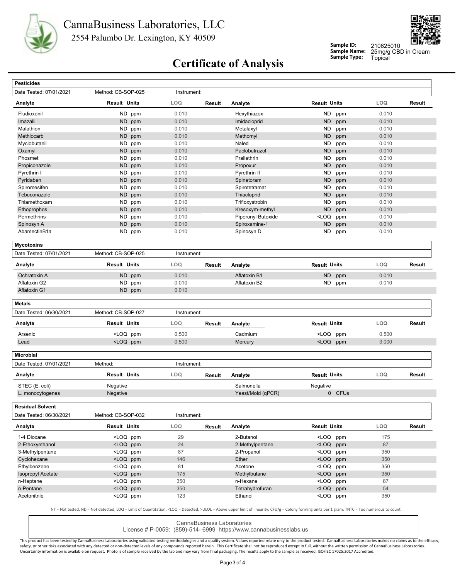



**Sample ID: Sample Name:**

25mg/g CBD in Cream 210625010

# **Sample Type:** Topical **Certificate of Analysis**

| <b>Pesticides</b>                                                                                  |                                                                                                                                                                                                                   |             |        |                             |                                                                                          |        |            |               |
|----------------------------------------------------------------------------------------------------|-------------------------------------------------------------------------------------------------------------------------------------------------------------------------------------------------------------------|-------------|--------|-----------------------------|------------------------------------------------------------------------------------------|--------|------------|---------------|
| Date Tested: 07/01/2021                                                                            | Method: CB-SOP-025                                                                                                                                                                                                | Instrument: |        |                             |                                                                                          |        |            |               |
| Analyte                                                                                            | <b>Result Units</b>                                                                                                                                                                                               | LOQ         | Result | Analyte                     | <b>Result Units</b>                                                                      |        | LOQ        | Result        |
| Fludioxonil                                                                                        | ND<br>ppm                                                                                                                                                                                                         | 0.010       |        | Hexythiazox                 | <b>ND</b>                                                                                | ppm    | 0.010      |               |
| Imazalil                                                                                           | ND ppm                                                                                                                                                                                                            | 0.010       |        | Imidacloprid                | <b>ND</b>                                                                                | ppm    | 0.010      |               |
| Malathion                                                                                          | ND ppm                                                                                                                                                                                                            | 0.010       |        | Metalaxyl                   | ND                                                                                       | ppm    | 0.010      |               |
| Methiocarb                                                                                         | <b>ND</b><br>ppm                                                                                                                                                                                                  | 0.010       |        | Methomyl                    | <b>ND</b>                                                                                | ppm    | 0.010      |               |
| Myclobutanil                                                                                       | ND ppm                                                                                                                                                                                                            | 0.010       |        | Naled                       | <b>ND</b>                                                                                | ppm    | 0.010      |               |
| Oxamyl                                                                                             | ND ppm                                                                                                                                                                                                            | 0.010       |        | Paclobutrazol               | <b>ND</b>                                                                                | ppm    | 0.010      |               |
| Phosmet                                                                                            | ND<br>ppm                                                                                                                                                                                                         | 0.010       |        | Prallethrin                 | <b>ND</b>                                                                                | ppm    | 0.010      |               |
| Propiconazole                                                                                      | ND ppm                                                                                                                                                                                                            | 0.010       |        | Propoxur                    | <b>ND</b>                                                                                | ppm    | 0.010      |               |
| Pyrethrin I                                                                                        | ND<br>ppm                                                                                                                                                                                                         | 0.010       |        | Pyrethrin II                | <b>ND</b>                                                                                | ppm    | 0.010      |               |
| Pyridaben                                                                                          | ND<br>ppm                                                                                                                                                                                                         | 0.010       |        | Spinetoram                  | <b>ND</b>                                                                                | ppm    | 0.010      |               |
| Spiromesifen                                                                                       | ND ppm                                                                                                                                                                                                            | 0.010       |        | Spirotetramat               | <b>ND</b>                                                                                | ppm    | 0.010      |               |
| Tebuconazole                                                                                       | ND.<br>ppm                                                                                                                                                                                                        | 0.010       |        | Thiacloprid                 | ND                                                                                       | ppm    | 0.010      |               |
| Thiamethoxam                                                                                       | ND<br>ppm                                                                                                                                                                                                         | 0.010       |        | Trifloxystrobin             | <b>ND</b>                                                                                | ppm    | 0.010      |               |
|                                                                                                    |                                                                                                                                                                                                                   |             |        |                             |                                                                                          |        |            |               |
| Ethoprophos                                                                                        | ND ppm                                                                                                                                                                                                            | 0.010       |        | Kresoxym-methyl             | <b>ND</b>                                                                                | ppm    | 0.010      |               |
| Permethrins                                                                                        | ND<br>ppm                                                                                                                                                                                                         | 0.010       |        | Piperonyl Butoxide          | <loq< td=""><td>ppm</td><td>0.010</td><td></td></loq<>                                   | ppm    | 0.010      |               |
| Spinosyn A                                                                                         | ND ppm                                                                                                                                                                                                            | 0.010       |        | Spiroxamine-1               | <b>ND</b>                                                                                | ppm    | 0.010      |               |
| AbamectinB1a                                                                                       | ND ppm                                                                                                                                                                                                            | 0.010       |        | Spinosyn D                  | ND                                                                                       | ppm    | 0.010      |               |
| <b>Mycotoxins</b>                                                                                  |                                                                                                                                                                                                                   |             |        |                             |                                                                                          |        |            |               |
| Date Tested: 07/01/2021                                                                            | Method: CB-SOP-025                                                                                                                                                                                                | Instrument: |        |                             |                                                                                          |        |            |               |
| Analyte                                                                                            | <b>Result Units</b>                                                                                                                                                                                               | <b>LOQ</b>  | Result | Analyte                     | <b>Result Units</b>                                                                      |        | LOQ        | <b>Result</b> |
| Ochratoxin A                                                                                       | ND ppm                                                                                                                                                                                                            | 0.010       |        | Aflatoxin B1                | <b>ND</b>                                                                                | ppm    | 0.010      |               |
| Aflatoxin G2                                                                                       | ND ppm                                                                                                                                                                                                            | 0.010       |        | Aflatoxin B2                | ND                                                                                       | ppm    | 0.010      |               |
| Aflatoxin G1                                                                                       | ND ppm                                                                                                                                                                                                            | 0.010       |        |                             |                                                                                          |        |            |               |
| <b>Metals</b>                                                                                      |                                                                                                                                                                                                                   |             |        |                             |                                                                                          |        |            |               |
| Date Tested: 06/30/2021                                                                            | Method: CB-SOP-027                                                                                                                                                                                                | Instrument: |        |                             |                                                                                          |        |            |               |
| Analyte                                                                                            | <b>Result Units</b>                                                                                                                                                                                               | <b>LOQ</b>  | Result | Analyte                     | <b>Result Units</b>                                                                      |        | <b>LOQ</b> | Result        |
| Arsenic                                                                                            | <loq ppm<="" td=""><td>0.500</td><td></td><td>Cadmium</td><td><loq ppm<="" td=""><td></td><td>0.500</td><td></td></loq></td></loq>                                                                                | 0.500       |        | Cadmium                     | <loq ppm<="" td=""><td></td><td>0.500</td><td></td></loq>                                |        | 0.500      |               |
| Lead                                                                                               | <loq ppm<="" td=""><td>0.500</td><td></td><td>Mercury</td><td><loq ppm<="" td=""><td></td><td>3.000</td><td></td></loq></td></loq>                                                                                | 0.500       |        | Mercury                     | <loq ppm<="" td=""><td></td><td>3.000</td><td></td></loq>                                |        | 3.000      |               |
| <b>Microbial</b>                                                                                   |                                                                                                                                                                                                                   |             |        |                             |                                                                                          |        |            |               |
| Date Tested: 07/01/2021                                                                            | Method:                                                                                                                                                                                                           |             |        |                             |                                                                                          |        |            |               |
|                                                                                                    |                                                                                                                                                                                                                   | Instrument: |        |                             |                                                                                          |        |            |               |
|                                                                                                    | <b>Result Units</b>                                                                                                                                                                                               | <b>LOQ</b>  | Result | Analyte                     | <b>Result Units</b>                                                                      |        | <b>LOQ</b> |               |
| STEC (E. coli)                                                                                     | Negative                                                                                                                                                                                                          |             |        | Salmonella                  |                                                                                          |        |            |               |
| L. monocytogenes                                                                                   | Negative                                                                                                                                                                                                          |             |        | Yeast/Mold (qPCR)           | Negative                                                                                 | 0 CFUs |            | Result        |
|                                                                                                    |                                                                                                                                                                                                                   |             |        |                             |                                                                                          |        |            |               |
|                                                                                                    | Method: CB-SOP-032                                                                                                                                                                                                | Instrument: |        |                             |                                                                                          |        |            |               |
|                                                                                                    | <b>Result Units</b>                                                                                                                                                                                               | LOQ         | Result | Analyte                     | <b>Result Units</b>                                                                      |        | LOQ        |               |
| 1-4 Dioxane                                                                                        | <loq ppm<="" td=""><td>29</td><td></td><td>2-Butanol</td><td><loq ppm<="" td=""><td></td><td>175</td><td></td></loq></td></loq>                                                                                   | 29          |        | 2-Butanol                   | <loq ppm<="" td=""><td></td><td>175</td><td></td></loq>                                  |        | 175        |               |
|                                                                                                    | <loq ppm<="" td=""><td>24</td><td></td><td>2-Methylpentane</td><td><loq ppm<="" td=""><td></td><td>87</td><td></td></loq></td></loq>                                                                              | 24          |        | 2-Methylpentane             | <loq ppm<="" td=""><td></td><td>87</td><td></td></loq>                                   |        | 87         |               |
| 3-Methylpentane                                                                                    | <loq ppm<="" td=""><td>87</td><td></td><td>2-Propanol</td><td><loq ppm<="" td=""><td></td><td>350</td><td></td></loq></td></loq>                                                                                  | 87          |        | 2-Propanol                  | <loq ppm<="" td=""><td></td><td>350</td><td></td></loq>                                  |        | 350        |               |
| 2-Ethoxyethanol<br>Cyclohexane                                                                     | <loq ppm<="" td=""><td>146</td><td></td><td>Ether</td><td><loq ppm<="" td=""><td></td><td>350</td><td></td></loq></td></loq>                                                                                      | 146         |        | Ether                       | <loq ppm<="" td=""><td></td><td>350</td><td></td></loq>                                  |        | 350        |               |
| Ethylbenzene                                                                                       |                                                                                                                                                                                                                   | 81          |        | Acetone                     | <loq ppm<="" td=""><td></td><td>350</td><td></td></loq>                                  |        | 350        |               |
| <b>Isopropyl Acetate</b>                                                                           | <loq ppm<="" td=""><td>175</td><td></td><td></td><td></td><td></td><td>350</td><td></td></loq>                                                                                                                    | 175         |        |                             |                                                                                          |        | 350        |               |
|                                                                                                    | <loq ppm<="" td=""><td></td><td></td><td>Methylbutane</td><td><loq ppm<="" td=""><td></td><td></td><td></td></loq></td></loq>                                                                                     |             |        | Methylbutane                | <loq ppm<="" td=""><td></td><td></td><td></td></loq>                                     |        |            |               |
| Analyte<br><b>Residual Solvent</b><br>Date Tested: 06/30/2021<br>Analyte<br>n-Heptane<br>n-Pentane | <loq ppm<br=""><loq ppm<="" td=""><td>350<br/>350</td><td></td><td>n-Hexane<br/>Tetrahydrofuran</td><td><loq ppm<br=""><loq ppm<="" td=""><td></td><td>87<br/>54</td><td>Result</td></loq></loq></td></loq></loq> | 350<br>350  |        | n-Hexane<br>Tetrahydrofuran | <loq ppm<br=""><loq ppm<="" td=""><td></td><td>87<br/>54</td><td>Result</td></loq></loq> |        | 87<br>54   | Result        |

CannaBusiness Laboratories

License # P-0059: (859)-514- 6999 https://www.cannabusinesslabs.us

This product has been tested by CannaBusiness Laboratories using validated testing methodologies and a quality system. Values reported relate only to the product tested. CannaBusiness Laboratories makes no claims as to the safety, or other risks associated with any detected or non-detected levels of any compounds reported herein. This Certificate shall not be reproduced except in full, without the written permission of CannaBusiness Laborato Uncertainty information is available on request. Photo is of sample received by the lab and may vary from final packaging. The results apply to the sample as received. ISO/IEC 17025:2017 Accredited.